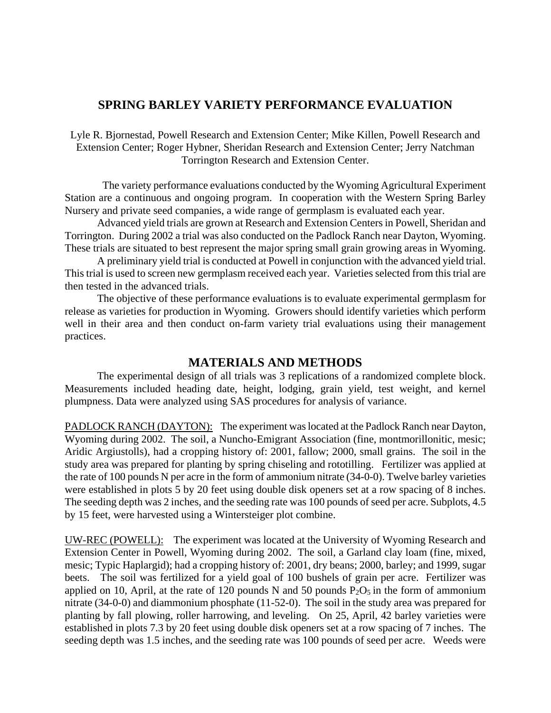## **SPRING BARLEY VARIETY PERFORMANCE EVALUATION**

Lyle R. Bjornestad, Powell Research and Extension Center; Mike Killen, Powell Research and Extension Center; Roger Hybner, Sheridan Research and Extension Center; Jerry Natchman Torrington Research and Extension Center.

 The variety performance evaluations conducted by the Wyoming Agricultural Experiment Station are a continuous and ongoing program. In cooperation with the Western Spring Barley Nursery and private seed companies, a wide range of germplasm is evaluated each year.

Advanced yield trials are grown at Research and Extension Centers in Powell, Sheridan and Torrington. During 2002 a trial was also conducted on the Padlock Ranch near Dayton, Wyoming. These trials are situated to best represent the major spring small grain growing areas in Wyoming.

A preliminary yield trial is conducted at Powell in conjunction with the advanced yield trial. This trial is used to screen new germplasm received each year. Varieties selected from this trial are then tested in the advanced trials.

The objective of these performance evaluations is to evaluate experimental germplasm for release as varieties for production in Wyoming. Growers should identify varieties which perform well in their area and then conduct on-farm variety trial evaluations using their management practices.

## **MATERIALS AND METHODS**

The experimental design of all trials was 3 replications of a randomized complete block. Measurements included heading date, height, lodging, grain yield, test weight, and kernel plumpness. Data were analyzed using SAS procedures for analysis of variance.

PADLOCK RANCH (DAYTON): The experiment was located at the Padlock Ranch near Dayton, Wyoming during 2002. The soil, a Nuncho-Emigrant Association (fine, montmorillonitic, mesic; Aridic Argiustolls), had a cropping history of: 2001, fallow; 2000, small grains. The soil in the study area was prepared for planting by spring chiseling and rototilling. Fertilizer was applied at the rate of 100 pounds N per acre in the form of ammonium nitrate (34-0-0). Twelve barley varieties were established in plots 5 by 20 feet using double disk openers set at a row spacing of 8 inches. The seeding depth was 2 inches, and the seeding rate was 100 pounds of seed per acre. Subplots, 4.5 by 15 feet, were harvested using a Wintersteiger plot combine.

UW-REC (POWELL): The experiment was located at the University of Wyoming Research and Extension Center in Powell, Wyoming during 2002. The soil, a Garland clay loam (fine, mixed, mesic; Typic Haplargid); had a cropping history of: 2001, dry beans; 2000, barley; and 1999, sugar beets. The soil was fertilized for a yield goal of 100 bushels of grain per acre. Fertilizer was applied on 10, April, at the rate of 120 pounds N and 50 pounds  $P_2O_5$  in the form of ammonium nitrate (34-0-0) and diammonium phosphate (11-52-0). The soil in the study area was prepared for planting by fall plowing, roller harrowing, and leveling. On 25, April, 42 barley varieties were established in plots 7.3 by 20 feet using double disk openers set at a row spacing of 7 inches. The seeding depth was 1.5 inches, and the seeding rate was 100 pounds of seed per acre. Weeds were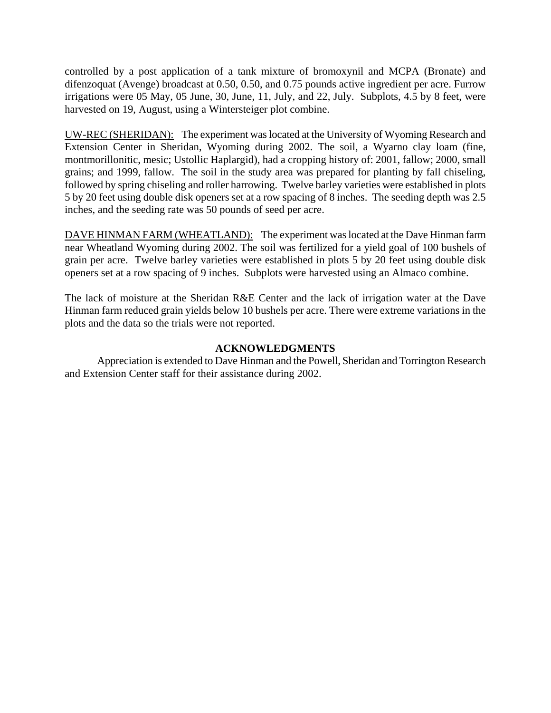controlled by a post application of a tank mixture of bromoxynil and MCPA (Bronate) and difenzoquat (Avenge) broadcast at 0.50, 0.50, and 0.75 pounds active ingredient per acre. Furrow irrigations were 05 May, 05 June, 30, June, 11, July, and 22, July. Subplots, 4.5 by 8 feet, were harvested on 19, August, using a Wintersteiger plot combine.

UW-REC (SHERIDAN): The experiment was located at the University of Wyoming Research and Extension Center in Sheridan, Wyoming during 2002. The soil, a Wyarno clay loam (fine, montmorillonitic, mesic; Ustollic Haplargid), had a cropping history of: 2001, fallow; 2000, small grains; and 1999, fallow. The soil in the study area was prepared for planting by fall chiseling, followed by spring chiseling and roller harrowing. Twelve barley varieties were established in plots 5 by 20 feet using double disk openers set at a row spacing of 8 inches. The seeding depth was 2.5 inches, and the seeding rate was 50 pounds of seed per acre.

DAVE HINMAN FARM (WHEATLAND): The experiment was located at the Dave Hinman farm near Wheatland Wyoming during 2002. The soil was fertilized for a yield goal of 100 bushels of grain per acre. Twelve barley varieties were established in plots 5 by 20 feet using double disk openers set at a row spacing of 9 inches. Subplots were harvested using an Almaco combine.

The lack of moisture at the Sheridan R&E Center and the lack of irrigation water at the Dave Hinman farm reduced grain yields below 10 bushels per acre. There were extreme variations in the plots and the data so the trials were not reported.

## **ACKNOWLEDGMENTS**

Appreciation is extended to Dave Hinman and the Powell, Sheridan and Torrington Research and Extension Center staff for their assistance during 2002.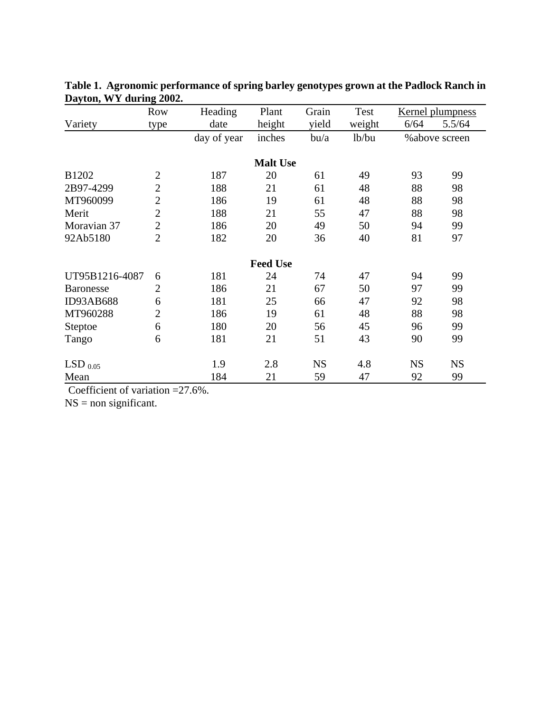|                  | <b>Row</b>                      | Heading     | Plant           | Grain     | Test   | <b>Kernel plumpness</b> |           |
|------------------|---------------------------------|-------------|-----------------|-----------|--------|-------------------------|-----------|
| Variety          | date<br>height<br>yield<br>type |             | weight          | 6/64      | 5.5/64 |                         |           |
|                  |                                 | day of year | inches          | $b$ u/a   | lb/bu  | % above screen          |           |
|                  |                                 |             | <b>Malt Use</b> |           |        |                         |           |
| B1202            | $\overline{2}$                  | 187         | 20              | 61        | 49     | 93                      | 99        |
| 2B97-4299        | $\overline{2}$                  | 188         | 21              | 61        | 48     | 88                      | 98        |
| MT960099         | $\overline{2}$                  | 186         | 19              | 61        | 48     | 88                      | 98        |
| Merit            | $\overline{2}$                  | 188         | 21              | 55        | 47     | 88                      | 98        |
| Moravian 37      | $\overline{2}$                  | 186         | 20              | 49        | 50     | 94                      | 99        |
| 92Ab5180         | $\overline{2}$                  | 182         | 20              | 36        | 40     | 81                      | 97        |
|                  |                                 |             | <b>Feed Use</b> |           |        |                         |           |
| UT95B1216-4087   | 6                               | 181         | 24              | 74        | 47     | 94                      | 99        |
| <b>Baronesse</b> | $\overline{2}$                  | 186         | 21              | 67        | 50     | 97                      | 99        |
| ID93AB688        | 6                               | 181         | 25              | 66        | 47     | 92                      | 98        |
| MT960288         | $\overline{2}$                  | 186         | 19              | 61        | 48     | 88                      | 98        |
| Steptoe          | 6                               | 180         | 20              | 56        | 45     | 96                      | 99        |
| Tango            | 6                               | 181         | 21              | 51        | 43     | 90                      | 99        |
| LSD $_{0.05}$    |                                 | 1.9         | 2.8             | <b>NS</b> | 4.8    | <b>NS</b>               | <b>NS</b> |
| Mean             |                                 | 184         | 21              | 59        | 47     | 92                      | 99        |

**Table 1. Agronomic performance of spring barley genotypes grown at the Padlock Ranch in Dayton, WY during 2002.**

Coefficient of variation =27.6%.

 $NS = non significant.$